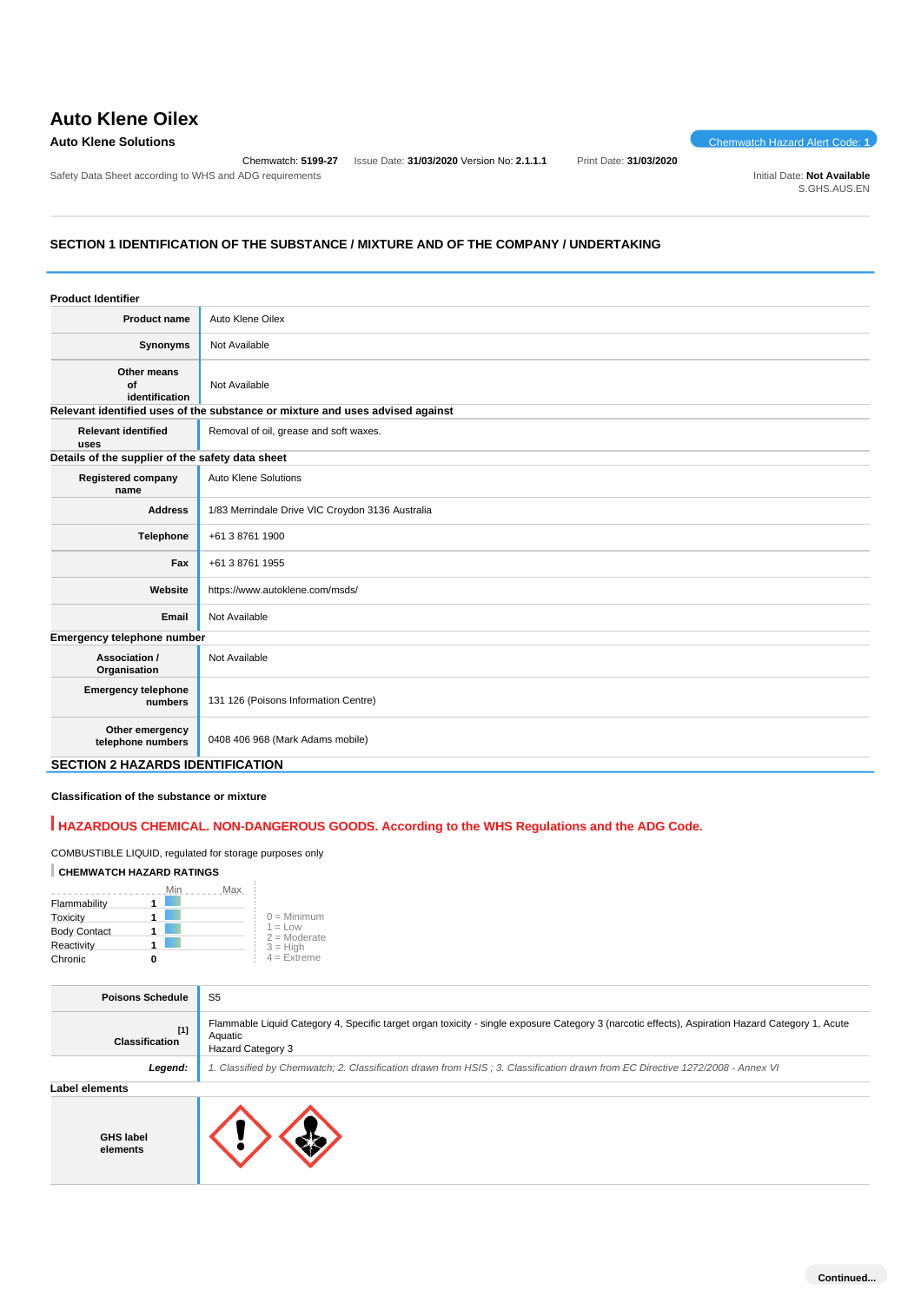# **Auto Klene Oilex**

### **Auto Klene Solutions** Chemwatch Hazard Alert Code: **1**

Safety Data Sheet according to WHS and ADG requirements **Initial Date: Not Available** Initial Date: Not Available

Chemwatch: **5199-27** Issue Date: **31/03/2020** Version No: **2.1.1.1** Print Date: **31/03/2020**

S.GHS.AUS.EN

## **SECTION 1 IDENTIFICATION OF THE SUBSTANCE / MIXTURE AND OF THE COMPANY / UNDERTAKING**

| <b>Product Identifier</b>                        |                                                                               |  |  |
|--------------------------------------------------|-------------------------------------------------------------------------------|--|--|
| <b>Product name</b>                              | Auto Klene Oilex                                                              |  |  |
| <b>Synonyms</b>                                  | Not Available                                                                 |  |  |
| Other means<br>of<br>identification              | Not Available                                                                 |  |  |
|                                                  | Relevant identified uses of the substance or mixture and uses advised against |  |  |
| <b>Relevant identified</b><br>uses               | Removal of oil, grease and soft waxes.                                        |  |  |
| Details of the supplier of the safety data sheet |                                                                               |  |  |
| <b>Registered company</b><br>name                | <b>Auto Klene Solutions</b>                                                   |  |  |
| <b>Address</b>                                   | 1/83 Merrindale Drive VIC Croydon 3136 Australia                              |  |  |
| Telephone                                        | +61 3 8761 1900                                                               |  |  |
| Fax                                              | +61 3 8761 1955                                                               |  |  |
| Website                                          | https://www.autoklene.com/msds/                                               |  |  |
| Email                                            | Not Available                                                                 |  |  |
| Emergency telephone number                       |                                                                               |  |  |
| Association /<br>Organisation                    | Not Available                                                                 |  |  |
| <b>Emergency telephone</b><br>numbers            | 131 126 (Poisons Information Centre)                                          |  |  |
| Other emergency<br>telephone numbers             | 0408 406 968 (Mark Adams mobile)                                              |  |  |
|                                                  | <b>SECTION 2 HAZARDS IDENTIFICATION</b>                                       |  |  |

# **Classification of the substance or mixture**

# **HAZARDOUS CHEMICAL. NON-DANGEROUS GOODS. According to the WHS Regulations and the ADG Code.**

COMBUSTIBLE LIQUID, regulated for storage purposes only

### **CHEMWATCH HAZARD RATINGS**

|                     | Min | Max |                             |
|---------------------|-----|-----|-----------------------------|
| Flammability        |     |     |                             |
| Toxicity            |     |     | $0 =$ Minimum               |
| <b>Body Contact</b> |     |     | $1 = Low$<br>$2 =$ Moderate |
| Reactivity          |     |     | $3 = H$ iah                 |
| Chronic             |     |     | $4 =$ Extreme               |

| <b>Poisons Schedule</b>        | S <sub>5</sub>                                                                                                                                                                          |
|--------------------------------|-----------------------------------------------------------------------------------------------------------------------------------------------------------------------------------------|
| $[1]$<br><b>Classification</b> | Flammable Liquid Category 4, Specific target organ toxicity - single exposure Category 3 (narcotic effects), Aspiration Hazard Category 1, Acute<br>Aquatic<br><b>Hazard Category 3</b> |
| Legend:                        | 1. Classified by Chemwatch; 2. Classification drawn from HSIS; 3. Classification drawn from EC Directive 1272/2008 - Annex VI                                                           |
| Label elements                 |                                                                                                                                                                                         |
| <b>GHS label</b><br>elements   |                                                                                                                                                                                         |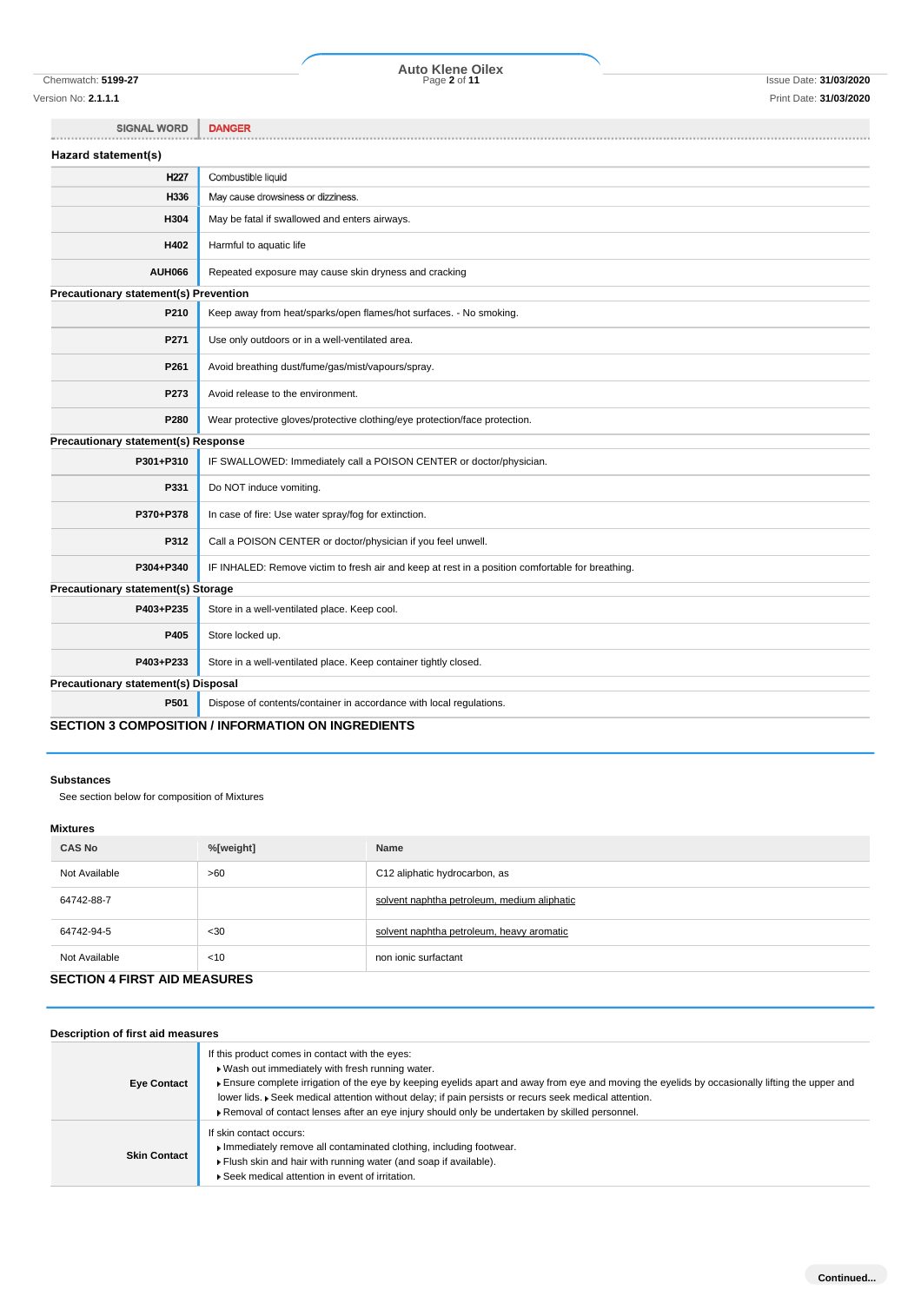Version No: **2.1.1.1** Print Date: **31/03/2020**

Chemwatch: **5199-27** Page **2** of **11** Issue Date: **31/03/2020 Auto Klene Oilex**

SIGNAL WORD | DANGER

| Hazard statement(s)                        |                                                                                                  |
|--------------------------------------------|--------------------------------------------------------------------------------------------------|
| H <sub>227</sub>                           | Combustible liquid                                                                               |
| H336                                       | May cause drowsiness or dizziness.                                                               |
| H304                                       | May be fatal if swallowed and enters airways.                                                    |
| H402                                       | Harmful to aquatic life                                                                          |
| <b>AUH066</b>                              | Repeated exposure may cause skin dryness and cracking                                            |
| Precautionary statement(s) Prevention      |                                                                                                  |
| P210                                       | Keep away from heat/sparks/open flames/hot surfaces. - No smoking.                               |
| P271                                       | Use only outdoors or in a well-ventilated area.                                                  |
| P261                                       | Avoid breathing dust/fume/gas/mist/vapours/spray.                                                |
| P273                                       | Avoid release to the environment.                                                                |
| P280                                       | Wear protective gloves/protective clothing/eye protection/face protection.                       |
| Precautionary statement(s) Response        |                                                                                                  |
| P301+P310                                  | IF SWALLOWED: Immediately call a POISON CENTER or doctor/physician.                              |
| P331                                       | Do NOT induce vomiting.                                                                          |
| P370+P378                                  | In case of fire: Use water spray/fog for extinction.                                             |
| P312                                       | Call a POISON CENTER or doctor/physician if you feel unwell.                                     |
| P304+P340                                  | IF INHALED: Remove victim to fresh air and keep at rest in a position comfortable for breathing. |
| Precautionary statement(s) Storage         |                                                                                                  |
| P403+P235                                  | Store in a well-ventilated place. Keep cool.                                                     |
| P405                                       | Store locked up.                                                                                 |
| P403+P233                                  | Store in a well-ventilated place. Keep container tightly closed.                                 |
| <b>Precautionary statement(s) Disposal</b> |                                                                                                  |
| P501                                       | Dispose of contents/container in accordance with local regulations.                              |
|                                            | <b>SECTION 3 COMPOSITION / INFORMATION ON INGREDIENTS</b>                                        |

### **SECTION 3 COMPOSITION / INFORMATION ON INGREDIENTS**

### **Substances**

See section below for composition of Mixtures

### **Mixtures**

| <b>CAS No</b>                       | %[weight] | Name                                        |  |
|-------------------------------------|-----------|---------------------------------------------|--|
| Not Available                       | >60       | C12 aliphatic hydrocarbon, as               |  |
| 64742-88-7                          |           | solvent naphtha petroleum, medium aliphatic |  |
| 64742-94-5                          | $30$      | solvent naphtha petroleum, heavy aromatic   |  |
| Not Available                       | < 10      | non ionic surfactant                        |  |
| <b>CECTION 4 FIDET AID MEACHDEC</b> |           |                                             |  |

# **SECTION 4 FIRST AID MEASURES**

| Description of first aid measures |                                                                                                                                                                                                                                                                                                                                                                                                                                                                   |  |  |  |  |
|-----------------------------------|-------------------------------------------------------------------------------------------------------------------------------------------------------------------------------------------------------------------------------------------------------------------------------------------------------------------------------------------------------------------------------------------------------------------------------------------------------------------|--|--|--|--|
| <b>Eye Contact</b>                | If this product comes in contact with the eyes:<br>Net Wash out immediately with fresh running water.<br>Ensure complete irrigation of the eye by keeping eyelids apart and away from eye and moving the eyelids by occasionally lifting the upper and<br>lower lids. Geek medical attention without delay; if pain persists or recurs seek medical attention.<br>▶ Removal of contact lenses after an eye injury should only be undertaken by skilled personnel. |  |  |  |  |
| <b>Skin Contact</b>               | If skin contact occurs:<br>Immediately remove all contaminated clothing, including footwear.<br>Flush skin and hair with running water (and soap if available).<br>Seek medical attention in event of irritation.                                                                                                                                                                                                                                                 |  |  |  |  |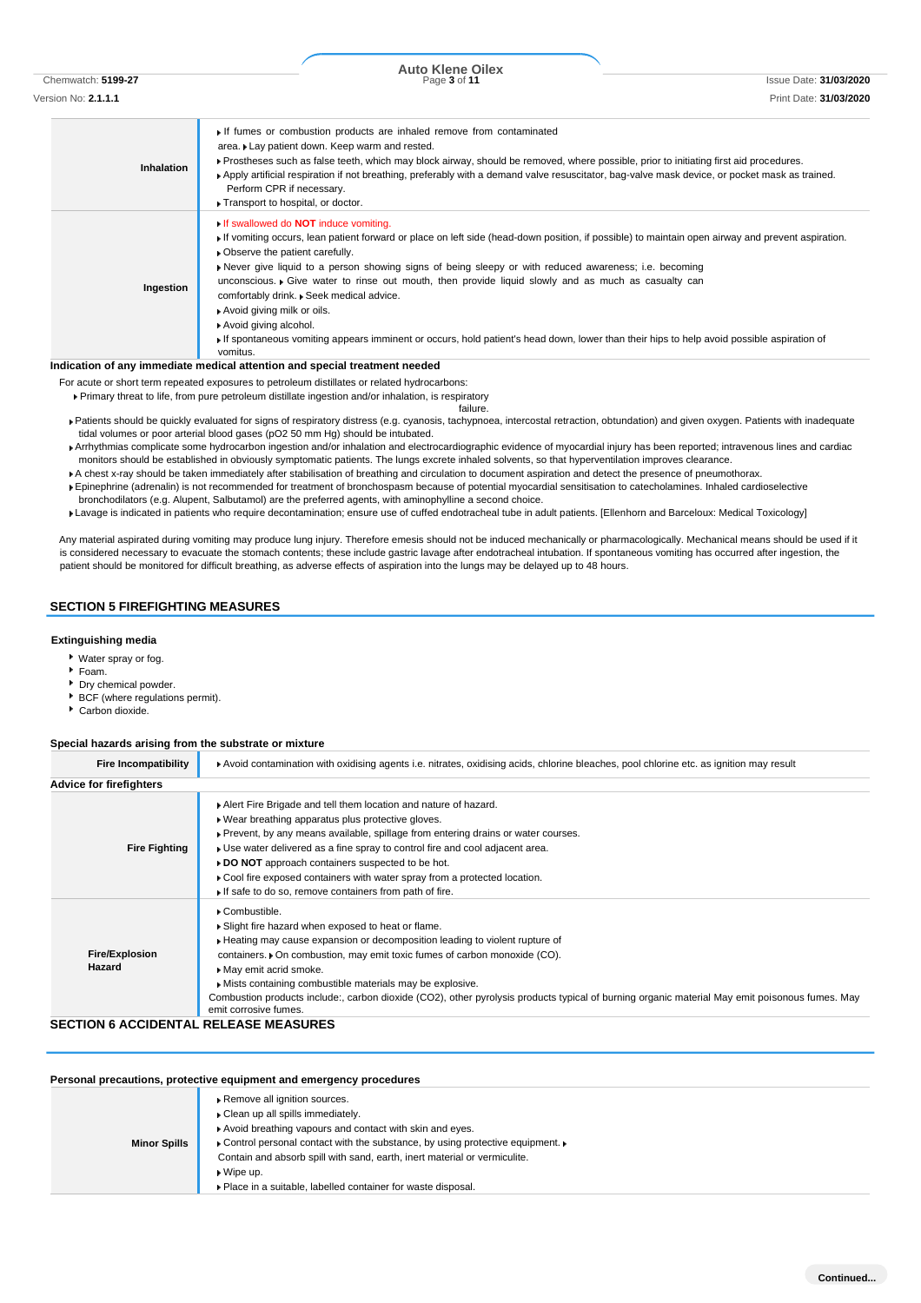| Inhalation | If fumes or combustion products are inhaled remove from contaminated<br>area. Lay patient down. Keep warm and rested.<br>▶ Prostheses such as false teeth, which may block airway, should be removed, where possible, prior to initiating first aid procedures.<br>▶ Apply artificial respiration if not breathing, preferably with a demand valve resuscitator, bag-valve mask device, or pocket mask as trained.<br>Perform CPR if necessary.<br>Transport to hospital, or doctor.                                                                                                                                                                                                                                           |
|------------|--------------------------------------------------------------------------------------------------------------------------------------------------------------------------------------------------------------------------------------------------------------------------------------------------------------------------------------------------------------------------------------------------------------------------------------------------------------------------------------------------------------------------------------------------------------------------------------------------------------------------------------------------------------------------------------------------------------------------------|
| Ingestion  | If swallowed do <b>NOT</b> induce vomiting.<br>If vomiting occurs, lean patient forward or place on left side (head-down position, if possible) to maintain open airway and prevent aspiration.<br>• Observe the patient carefully.<br>Never give liquid to a person showing signs of being sleepy or with reduced awareness; i.e. becoming<br>unconscious. $\triangleright$ Give water to rinse out mouth, then provide liquid slowly and as much as casualty can<br>comfortably drink. » Seek medical advice.<br>Avoid giving milk or oils.<br>Avoid giving alcohol.<br>If spontaneous vomiting appears imminent or occurs, hold patient's head down, lower than their hips to help avoid possible aspiration of<br>vomitus. |

### **Indication of any immediate medical attention and special treatment needed**

For acute or short term repeated exposures to petroleum distillates or related hydrocarbons: Primary threat to life, from pure petroleum distillate ingestion and/or inhalation, is respiratory

failure.

- Patients should be quickly evaluated for signs of respiratory distress (e.g. cyanosis, tachypnoea, intercostal retraction, obtundation) and given oxygen. Patients with inadequate tidal volumes or poor arterial blood gases (pO2 50 mm Hg) should be intubated.
- Arrhythmias complicate some hydrocarbon ingestion and/or inhalation and electrocardiographic evidence of myocardial injury has been reported; intravenous lines and cardiac monitors should be established in obviously symptomatic patients. The lungs excrete inhaled solvents, so that hyperventilation improves clearance.
- A chest x-ray should be taken immediately after stabilisation of breathing and circulation to document aspiration and detect the presence of pneumothorax.
- Epinephrine (adrenalin) is not recommended for treatment of bronchospasm because of potential myocardial sensitisation to catecholamines. Inhaled cardioselective bronchodilators (e.g. Alupent, Salbutamol) are the preferred agents, with aminophylline a second choice.
- Lavage is indicated in patients who require decontamination; ensure use of cuffed endotracheal tube in adult patients. [Ellenhorn and Barceloux: Medical Toxicology]

Any material aspirated during vomiting may produce lung injury. Therefore emesis should not be induced mechanically or pharmacologically. Mechanical means should be used if it is considered necessary to evacuate the stomach contents; these include gastric lavage after endotracheal intubation. If spontaneous vomiting has occurred after ingestion, the patient should be monitored for difficult breathing, as adverse effects of aspiration into the lungs may be delayed up to 48 hours.

### **SECTION 5 FIREFIGHTING MEASURES**

### **Extinguishing media**

- Water spray or fog.
- $F$ Foam.
- Dry chemical powder.
- BCF (where regulations permit).
- Carbon dioxide.

### **Special hazards arising from the substrate or mixture**

| <b>Fire Incompatibility</b>                  | Avoid contamination with oxidising agents i.e. nitrates, oxidising acids, chlorine bleaches, pool chlorine etc. as ignition may result                                                                                                                                                                                                                                                                                                                                                          |  |  |  |
|----------------------------------------------|-------------------------------------------------------------------------------------------------------------------------------------------------------------------------------------------------------------------------------------------------------------------------------------------------------------------------------------------------------------------------------------------------------------------------------------------------------------------------------------------------|--|--|--|
| <b>Advice for firefighters</b>               |                                                                                                                                                                                                                                                                                                                                                                                                                                                                                                 |  |  |  |
| <b>Fire Fighting</b>                         | Alert Fire Brigade and tell them location and nature of hazard.<br>. Wear breathing apparatus plus protective gloves.<br>▶ Prevent, by any means available, spillage from entering drains or water courses.<br>Use water delivered as a fine spray to control fire and cool adjacent area.<br>DO NOT approach containers suspected to be hot.<br>Cool fire exposed containers with water spray from a protected location.<br>If safe to do so, remove containers from path of fire.             |  |  |  |
| Fire/Explosion<br>Hazard                     | Combustible.<br>Slight fire hazard when exposed to heat or flame.<br>► Heating may cause expansion or decomposition leading to violent rupture of<br>containers. • On combustion, may emit toxic fumes of carbon monoxide (CO).<br>May emit acrid smoke.<br>Mists containing combustible materials may be explosive.<br>Combustion products include:, carbon dioxide (CO2), other pyrolysis products typical of burning organic material May emit poisonous fumes. May<br>emit corrosive fumes. |  |  |  |
| <b>SECTION 6 ACCIDENTAL RELEASE MEASURES</b> |                                                                                                                                                                                                                                                                                                                                                                                                                                                                                                 |  |  |  |

# **Personal precautions, protective equipment and emergency procedures**

| <b>Minor Spills</b> | Remove all ignition sources.<br>Clean up all spills immediately.<br>Avoid breathing vapours and contact with skin and eyes.<br>• Control personal contact with the substance, by using protective equipment.<br>Contain and absorb spill with sand, earth, inert material or vermiculite.<br>$\triangleright$ Wipe up.<br>▶ Place in a suitable, labelled container for waste disposal. |
|---------------------|-----------------------------------------------------------------------------------------------------------------------------------------------------------------------------------------------------------------------------------------------------------------------------------------------------------------------------------------------------------------------------------------|
|---------------------|-----------------------------------------------------------------------------------------------------------------------------------------------------------------------------------------------------------------------------------------------------------------------------------------------------------------------------------------------------------------------------------------|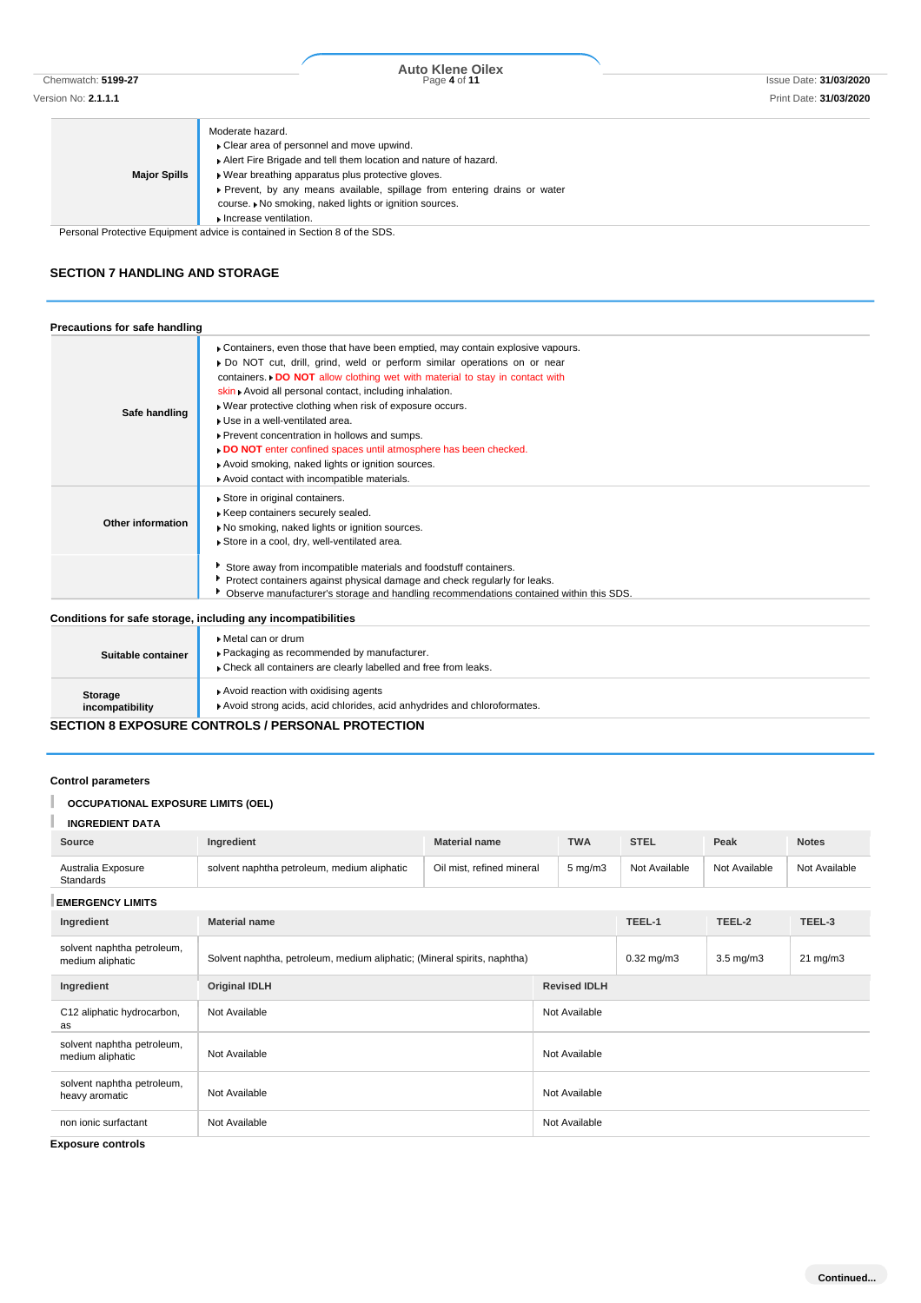| <b>Major Spills</b> | Moderate hazard.<br>• Clear area of personnel and move upwind.<br>Alert Fire Brigade and tell them location and nature of hazard.<br>Wear breathing apparatus plus protective gloves. |
|---------------------|---------------------------------------------------------------------------------------------------------------------------------------------------------------------------------------|
|                     | ► Prevent, by any means available, spillage from entering drains or water<br>course. I No smoking, naked lights or ignition sources.                                                  |
|                     | Increase ventilation.<br>Desenant Destrutive Factories est deliver la contelezat la Occident Ond the ODO                                                                              |

Personal Protective Equipment advice is contained in Section 8 of the SDS.

### **SECTION 7 HANDLING AND STORAGE**

| Precautions for safe handling |                                                                                                                                                                                                                                                                                                                                                                                                                                                                                                                                                                                                                                      |
|-------------------------------|--------------------------------------------------------------------------------------------------------------------------------------------------------------------------------------------------------------------------------------------------------------------------------------------------------------------------------------------------------------------------------------------------------------------------------------------------------------------------------------------------------------------------------------------------------------------------------------------------------------------------------------|
| Safe handling                 | Containers, even those that have been emptied, may contain explosive vapours.<br>Do NOT cut, drill, grind, weld or perform similar operations on or near<br>containers. $\triangleright$ DO NOT allow clothing wet with material to stay in contact with<br>skin Avoid all personal contact, including inhalation.<br>. Wear protective clothing when risk of exposure occurs.<br>Use in a well-ventilated area.<br>Prevent concentration in hollows and sumps.<br>DO NOT enter confined spaces until atmosphere has been checked.<br>Avoid smoking, naked lights or ignition sources.<br>Avoid contact with incompatible materials. |
| Other information             | Store in original containers.<br>Keep containers securely sealed.<br>No smoking, naked lights or ignition sources.<br>Store in a cool, dry, well-ventilated area.                                                                                                                                                                                                                                                                                                                                                                                                                                                                    |
|                               | Store away from incompatible materials and foodstuff containers.<br>Protect containers against physical damage and check regularly for leaks.<br>Observe manufacturer's storage and handling recommendations contained within this SDS.                                                                                                                                                                                                                                                                                                                                                                                              |
|                               | Conditions for safe storage, including any incompatibilities                                                                                                                                                                                                                                                                                                                                                                                                                                                                                                                                                                         |
| Suitable container            | Metal can or drum<br>▶ Packaging as recommended by manufacturer.<br>Check all containers are clearly labelled and free from leaks.                                                                                                                                                                                                                                                                                                                                                                                                                                                                                                   |
| Storage                       | Avoid reaction with oxidising agents                                                                                                                                                                                                                                                                                                                                                                                                                                                                                                                                                                                                 |

**Storage incompatibility** Avoid strong acids, acid chlorides, acid anhydrides and chloroformates.

### **SECTION 8 EXPOSURE CONTROLS / PERSONAL PROTECTION**

### **Control parameters**

### I **OCCUPATIONAL EXPOSURE LIMITS (OEL)**

| <b>INGREDIENT DATA</b>                         |                                                                          |                           |                     |                |                   |               |  |
|------------------------------------------------|--------------------------------------------------------------------------|---------------------------|---------------------|----------------|-------------------|---------------|--|
| Source                                         | Ingredient                                                               | <b>Material name</b>      | <b>TWA</b>          | <b>STEL</b>    | Peak              | <b>Notes</b>  |  |
| Australia Exposure<br>Standards                | solvent naphtha petroleum, medium aliphatic                              | Oil mist, refined mineral | $5 \text{ mg/m}$ 3  | Not Available  | Not Available     | Not Available |  |
| <b>EMERGENCY LIMITS</b>                        |                                                                          |                           |                     |                |                   |               |  |
| Ingredient                                     | <b>Material name</b>                                                     |                           |                     |                | TEEL-2            | TEEL-3        |  |
| solvent naphtha petroleum,<br>medium aliphatic | Solvent naphtha, petroleum, medium aliphatic; (Mineral spirits, naphtha) |                           | $0.32$ mg/m $3$     | $3.5$ mg/m $3$ | $21 \text{ mg/m}$ |               |  |
| Ingredient                                     | <b>Original IDLH</b><br>Not Available                                    |                           | <b>Revised IDLH</b> |                |                   |               |  |
| C12 aliphatic hydrocarbon,<br>as               |                                                                          |                           | Not Available       |                |                   |               |  |
| solvent naphtha petroleum,<br>medium aliphatic | Not Available                                                            |                           | Not Available       |                |                   |               |  |
| solvent naphtha petroleum,<br>heavy aromatic   | Not Available<br>Not Available                                           |                           | Not Available       |                |                   |               |  |
| non ionic surfactant                           |                                                                          |                           | Not Available       |                |                   |               |  |

**Exposure controls**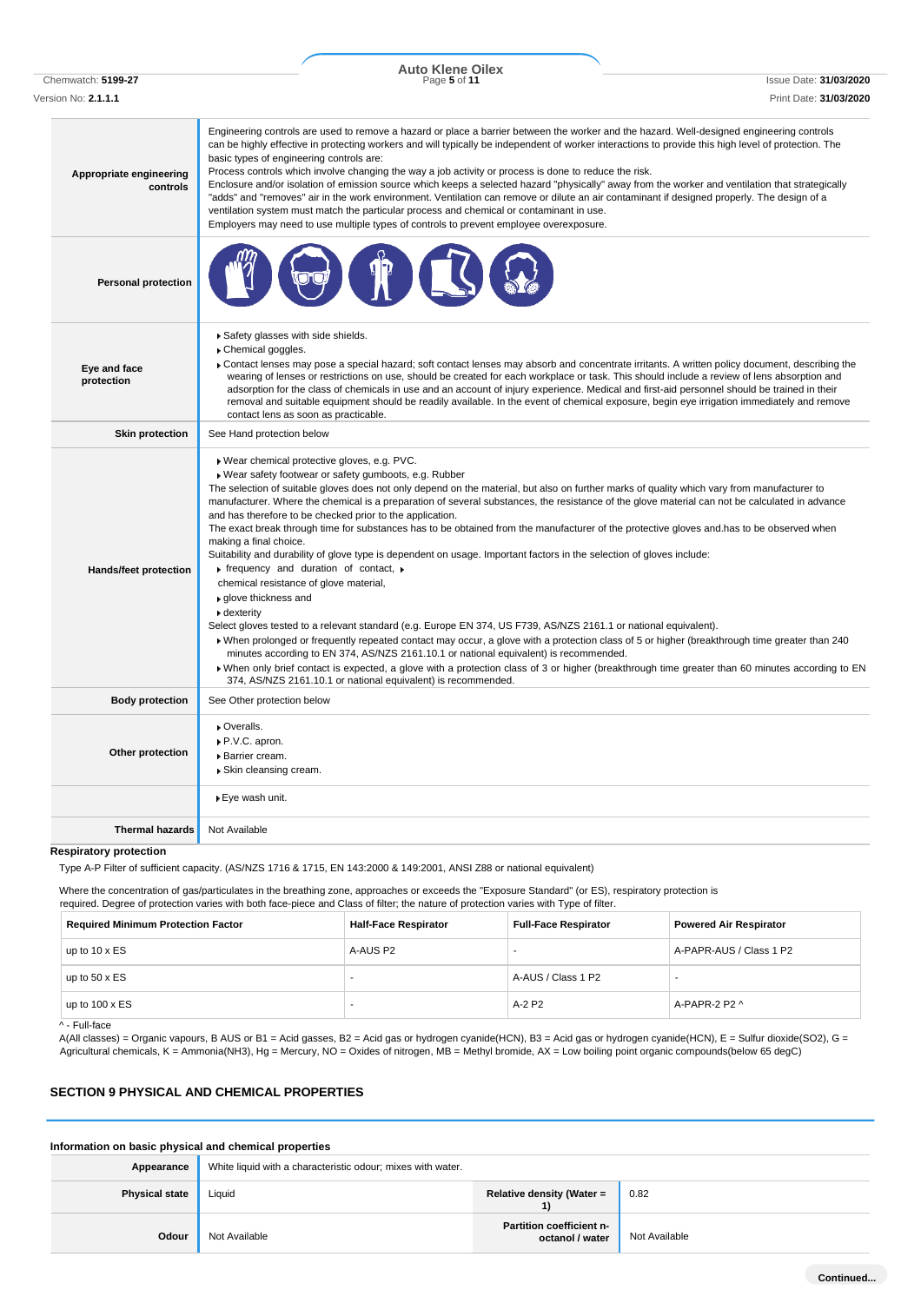Chemwatch: **5199-27** Page **5** of **11** Issue Date: **31/03/2020 Auto Klene Oilex**

| Version No: <b>2.1.1.1</b>          | Print Date: 31/03/2020                                                                                                                                                                                                                                                                                                                                                                                                                                                                                                                                                                                                                                                                                                                                                                                                                                                                                                                                                                                                                                                                                                                                                                                                                                                                                                                                                                                                                                                                                                              |
|-------------------------------------|-------------------------------------------------------------------------------------------------------------------------------------------------------------------------------------------------------------------------------------------------------------------------------------------------------------------------------------------------------------------------------------------------------------------------------------------------------------------------------------------------------------------------------------------------------------------------------------------------------------------------------------------------------------------------------------------------------------------------------------------------------------------------------------------------------------------------------------------------------------------------------------------------------------------------------------------------------------------------------------------------------------------------------------------------------------------------------------------------------------------------------------------------------------------------------------------------------------------------------------------------------------------------------------------------------------------------------------------------------------------------------------------------------------------------------------------------------------------------------------------------------------------------------------|
| Appropriate engineering<br>controls | Engineering controls are used to remove a hazard or place a barrier between the worker and the hazard. Well-designed engineering controls<br>can be highly effective in protecting workers and will typically be independent of worker interactions to provide this high level of protection. The<br>basic types of engineering controls are:<br>Process controls which involve changing the way a job activity or process is done to reduce the risk.<br>Enclosure and/or isolation of emission source which keeps a selected hazard "physically" away from the worker and ventilation that strategically<br>"adds" and "removes" air in the work environment. Ventilation can remove or dilute an air contaminant if designed properly. The design of a<br>ventilation system must match the particular process and chemical or contaminant in use.<br>Employers may need to use multiple types of controls to prevent employee overexposure.                                                                                                                                                                                                                                                                                                                                                                                                                                                                                                                                                                                     |
| <b>Personal protection</b>          |                                                                                                                                                                                                                                                                                                                                                                                                                                                                                                                                                                                                                                                                                                                                                                                                                                                                                                                                                                                                                                                                                                                                                                                                                                                                                                                                                                                                                                                                                                                                     |
| Eye and face<br>protection          | ▶ Safety glasses with side shields.<br>Chemical goggles.<br>• Contact lenses may pose a special hazard; soft contact lenses may absorb and concentrate irritants. A written policy document, describing the<br>wearing of lenses or restrictions on use, should be created for each workplace or task. This should include a review of lens absorption and<br>adsorption for the class of chemicals in use and an account of injury experience. Medical and first-aid personnel should be trained in their<br>removal and suitable equipment should be readily available. In the event of chemical exposure, begin eye irrigation immediately and remove<br>contact lens as soon as practicable.                                                                                                                                                                                                                                                                                                                                                                                                                                                                                                                                                                                                                                                                                                                                                                                                                                    |
| <b>Skin protection</b>              | See Hand protection below                                                                                                                                                                                                                                                                                                                                                                                                                                                                                                                                                                                                                                                                                                                                                                                                                                                                                                                                                                                                                                                                                                                                                                                                                                                                                                                                                                                                                                                                                                           |
| Hands/feet protection               | ▶ Wear chemical protective gloves, e.g. PVC.<br>Wear safety footwear or safety gumboots, e.g. Rubber<br>The selection of suitable gloves does not only depend on the material, but also on further marks of quality which vary from manufacturer to<br>manufacturer. Where the chemical is a preparation of several substances, the resistance of the glove material can not be calculated in advance<br>and has therefore to be checked prior to the application.<br>The exact break through time for substances has to be obtained from the manufacturer of the protective gloves and has to be observed when<br>making a final choice.<br>Suitability and durability of glove type is dependent on usage. Important factors in the selection of gloves include:<br>$\triangleright$ frequency and duration of contact, $\triangleright$<br>chemical resistance of glove material,<br>▶ glove thickness and<br>$\blacktriangleright$ dexterity<br>Select gloves tested to a relevant standard (e.g. Europe EN 374, US F739, AS/NZS 2161.1 or national equivalent).<br>• When prolonged or frequently repeated contact may occur, a glove with a protection class of 5 or higher (breakthrough time greater than 240<br>minutes according to EN 374, AS/NZS 2161.10.1 or national equivalent) is recommended.<br>» When only brief contact is expected, a glove with a protection class of 3 or higher (breakthrough time greater than 60 minutes according to EN<br>374, AS/NZS 2161.10.1 or national equivalent) is recommended. |
| <b>Body protection</b>              | See Other protection below                                                                                                                                                                                                                                                                                                                                                                                                                                                                                                                                                                                                                                                                                                                                                                                                                                                                                                                                                                                                                                                                                                                                                                                                                                                                                                                                                                                                                                                                                                          |
| Other protection                    | Overalls.<br>▶ P.V.C. apron.<br><b>Barrier cream.</b><br>▶ Skin cleansing cream.                                                                                                                                                                                                                                                                                                                                                                                                                                                                                                                                                                                                                                                                                                                                                                                                                                                                                                                                                                                                                                                                                                                                                                                                                                                                                                                                                                                                                                                    |
|                                     | ▶ Eye wash unit.                                                                                                                                                                                                                                                                                                                                                                                                                                                                                                                                                                                                                                                                                                                                                                                                                                                                                                                                                                                                                                                                                                                                                                                                                                                                                                                                                                                                                                                                                                                    |
| <b>Thermal hazards</b>              | Not Available                                                                                                                                                                                                                                                                                                                                                                                                                                                                                                                                                                                                                                                                                                                                                                                                                                                                                                                                                                                                                                                                                                                                                                                                                                                                                                                                                                                                                                                                                                                       |

### **Respiratory protection**

Type A-P Filter of sufficient capacity. (AS/NZS 1716 & 1715, EN 143:2000 & 149:2001, ANSI Z88 or national equivalent)

Where the concentration of gas/particulates in the breathing zone, approaches or exceeds the "Exposure Standard" (or ES), respiratory protection is required. Degree of protection varies with both face-piece and Class of filter; the nature of protection varies with Type of filter.

| <b>Required Minimum Protection Factor</b> | <b>Half-Face Respirator</b> | <b>Full-Face Respirator</b> | <b>Powered Air Respirator</b> |
|-------------------------------------------|-----------------------------|-----------------------------|-------------------------------|
| up to $10 \times ES$                      | A-AUS P2                    |                             | A-PAPR-AUS / Class 1 P2       |
| up to $50 \times ES$                      |                             | A-AUS / Class 1 P2          |                               |
| up to $100 \times ES$                     |                             | A-2 P2                      | A-PAPR-2 P2 $\land$           |

^ - Full-face

A(All classes) = Organic vapours, B AUS or B1 = Acid gasses, B2 = Acid gas or hydrogen cyanide(HCN), B3 = Acid gas or hydrogen cyanide(HCN), E = Sulfur dioxide(SO2), G = Agricultural chemicals, K = Ammonia(NH3), Hg = Mercury, NO = Oxides of nitrogen, MB = Methyl bromide, AX = Low boiling point organic compounds(below 65 degC)

## **SECTION 9 PHYSICAL AND CHEMICAL PROPERTIES**

| Information on basic physical and chemical properties |                                                             |                                             |               |
|-------------------------------------------------------|-------------------------------------------------------------|---------------------------------------------|---------------|
| Appearance                                            | White liquid with a characteristic odour; mixes with water. |                                             |               |
| <b>Physical state</b>                                 | Liquid                                                      | Relative density (Water =                   | 0.82          |
| Odour                                                 | Not Available                                               | Partition coefficient n-<br>octanol / water | Not Available |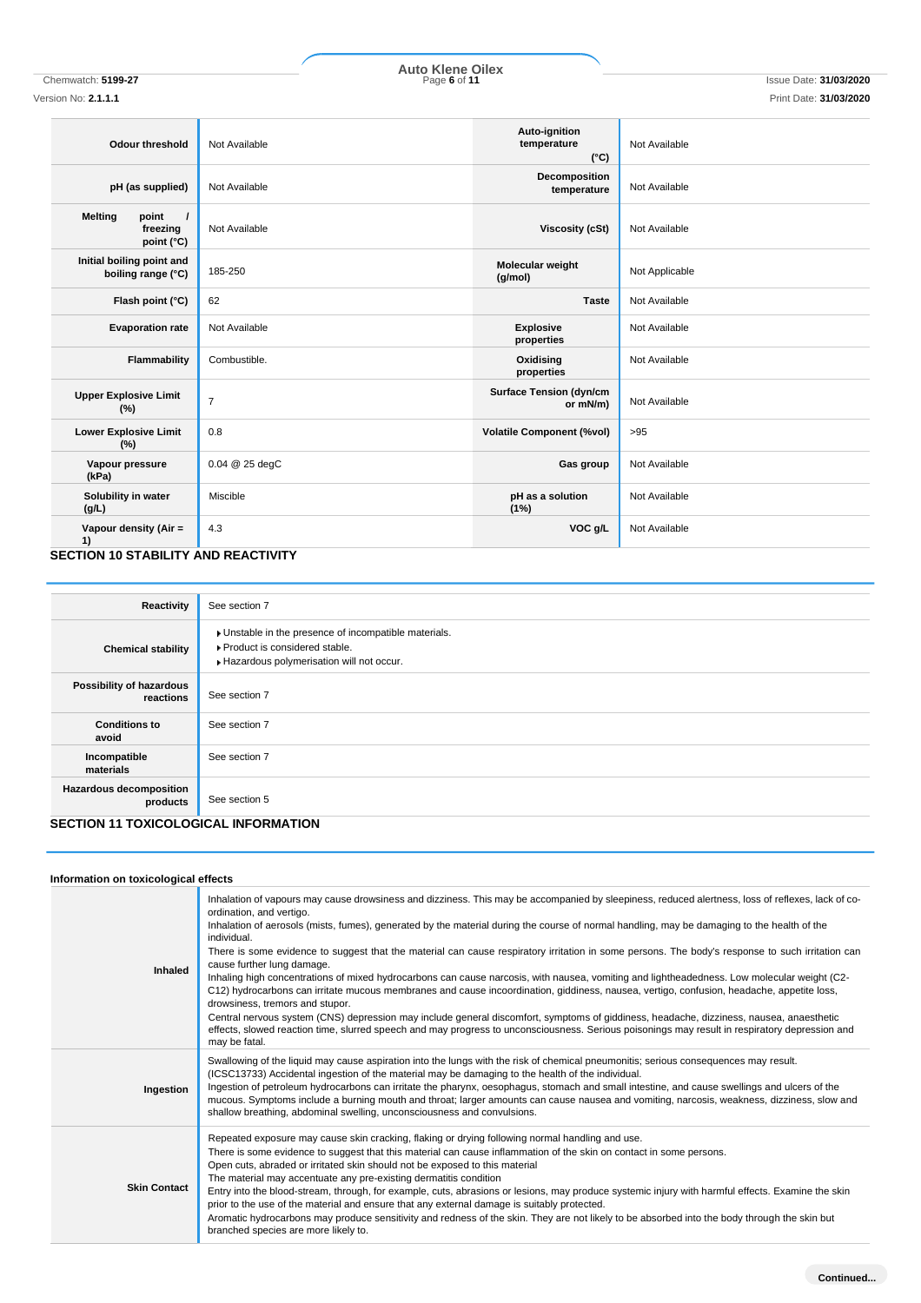Chemwatch: **5199-27** Page **6** of **11** Issue Date: **31/03/2020 Auto Klene Oilex**

## Version No: **2.1.1.1** Print Date: **31/03/2020**

| <b>Odour threshold</b>                                                 | Not Available  | Auto-ignition<br>temperature<br>$(^{\circ}C)$ | Not Available  |
|------------------------------------------------------------------------|----------------|-----------------------------------------------|----------------|
| pH (as supplied)                                                       | Not Available  | Decomposition<br>temperature                  | Not Available  |
| <b>Melting</b><br>point<br>$\prime$<br>freezing<br>point $(^{\circ}C)$ | Not Available  | Viscosity (cSt)                               | Not Available  |
| Initial boiling point and<br>boiling range (°C)                        | 185-250        | Molecular weight<br>(g/mol)                   | Not Applicable |
| Flash point (°C)                                                       | 62             | <b>Taste</b>                                  | Not Available  |
| <b>Evaporation rate</b>                                                | Not Available  | <b>Explosive</b><br>properties                | Not Available  |
| Flammability                                                           | Combustible.   | Oxidising<br>properties                       | Not Available  |
| <b>Upper Explosive Limit</b><br>(%)                                    | $\overline{7}$ | <b>Surface Tension (dyn/cm</b><br>or mN/m)    | Not Available  |
| <b>Lower Explosive Limit</b><br>(%)                                    | 0.8            | <b>Volatile Component (%vol)</b>              | >95            |
| Vapour pressure<br>(kPa)                                               | 0.04 @ 25 degC | Gas group                                     | Not Available  |
| Solubility in water<br>(g/L)                                           | Miscible       | pH as a solution<br>(1%)                      | Not Available  |
| Vapour density (Air =<br>1)                                            | 4.3            | VOC g/L                                       | Not Available  |

### **SECTION 10 STABILITY AND REACTIVITY**

T

| Reactivity                                                                         | See section 7                                                                                                                      |
|------------------------------------------------------------------------------------|------------------------------------------------------------------------------------------------------------------------------------|
| <b>Chemical stability</b>                                                          | Unstable in the presence of incompatible materials.<br>▶ Product is considered stable.<br>Hazardous polymerisation will not occur. |
| Possibility of hazardous<br>reactions                                              | See section 7                                                                                                                      |
| <b>Conditions to</b><br>avoid                                                      | See section 7                                                                                                                      |
| Incompatible<br>materials                                                          | See section 7                                                                                                                      |
| Hazardous decomposition<br>products<br><b>CECTION 44 TOVICOLOGICAL INFORMATION</b> | See section 5                                                                                                                      |

# **SECTION 11 TOXICOLOGICAL INFORMATION**

### **Information on toxicological effects**

| mormanon on toxicological chects |                                                                                                                                                                                                                                                                                                                                                                                                                                                                                                                                                                                                                                                                                                                                                                                                                                                                                                                                                                                                                                                                                                                                                                            |
|----------------------------------|----------------------------------------------------------------------------------------------------------------------------------------------------------------------------------------------------------------------------------------------------------------------------------------------------------------------------------------------------------------------------------------------------------------------------------------------------------------------------------------------------------------------------------------------------------------------------------------------------------------------------------------------------------------------------------------------------------------------------------------------------------------------------------------------------------------------------------------------------------------------------------------------------------------------------------------------------------------------------------------------------------------------------------------------------------------------------------------------------------------------------------------------------------------------------|
| Inhaled                          | Inhalation of vapours may cause drowsiness and dizziness. This may be accompanied by sleepiness, reduced alertness, loss of reflexes, lack of co-<br>ordination, and vertigo.<br>Inhalation of aerosols (mists, fumes), generated by the material during the course of normal handling, may be damaging to the health of the<br>individual.<br>There is some evidence to suggest that the material can cause respiratory irritation in some persons. The body's response to such irritation can<br>cause further lung damage.<br>Inhaling high concentrations of mixed hydrocarbons can cause narcosis, with nausea, vomiting and lightheadedness. Low molecular weight (C2-<br>C12) hydrocarbons can irritate mucous membranes and cause incoordination, giddiness, nausea, vertigo, confusion, headache, appetite loss,<br>drowsiness, tremors and stupor.<br>Central nervous system (CNS) depression may include general discomfort, symptoms of giddiness, headache, dizziness, nausea, anaesthetic<br>effects, slowed reaction time, slurred speech and may progress to unconsciousness. Serious poisonings may result in respiratory depression and<br>may be fatal. |
| Ingestion                        | Swallowing of the liquid may cause aspiration into the lungs with the risk of chemical pneumonitis; serious consequences may result.<br>(ICSC13733) Accidental ingestion of the material may be damaging to the health of the individual.<br>Ingestion of petroleum hydrocarbons can irritate the pharynx, oesophagus, stomach and small intestine, and cause swellings and ulcers of the<br>mucous. Symptoms include a burning mouth and throat; larger amounts can cause nausea and vomiting, narcosis, weakness, dizziness, slow and<br>shallow breathing, abdominal swelling, unconsciousness and convulsions.                                                                                                                                                                                                                                                                                                                                                                                                                                                                                                                                                         |
| <b>Skin Contact</b>              | Repeated exposure may cause skin cracking, flaking or drying following normal handling and use.<br>There is some evidence to suggest that this material can cause inflammation of the skin on contact in some persons.<br>Open cuts, abraded or irritated skin should not be exposed to this material<br>The material may accentuate any pre-existing dermatitis condition<br>Entry into the blood-stream, through, for example, cuts, abrasions or lesions, may produce systemic injury with harmful effects. Examine the skin<br>prior to the use of the material and ensure that any external damage is suitably protected.<br>Aromatic hydrocarbons may produce sensitivity and redness of the skin. They are not likely to be absorbed into the body through the skin but<br>branched species are more likely to.                                                                                                                                                                                                                                                                                                                                                     |
|                                  |                                                                                                                                                                                                                                                                                                                                                                                                                                                                                                                                                                                                                                                                                                                                                                                                                                                                                                                                                                                                                                                                                                                                                                            |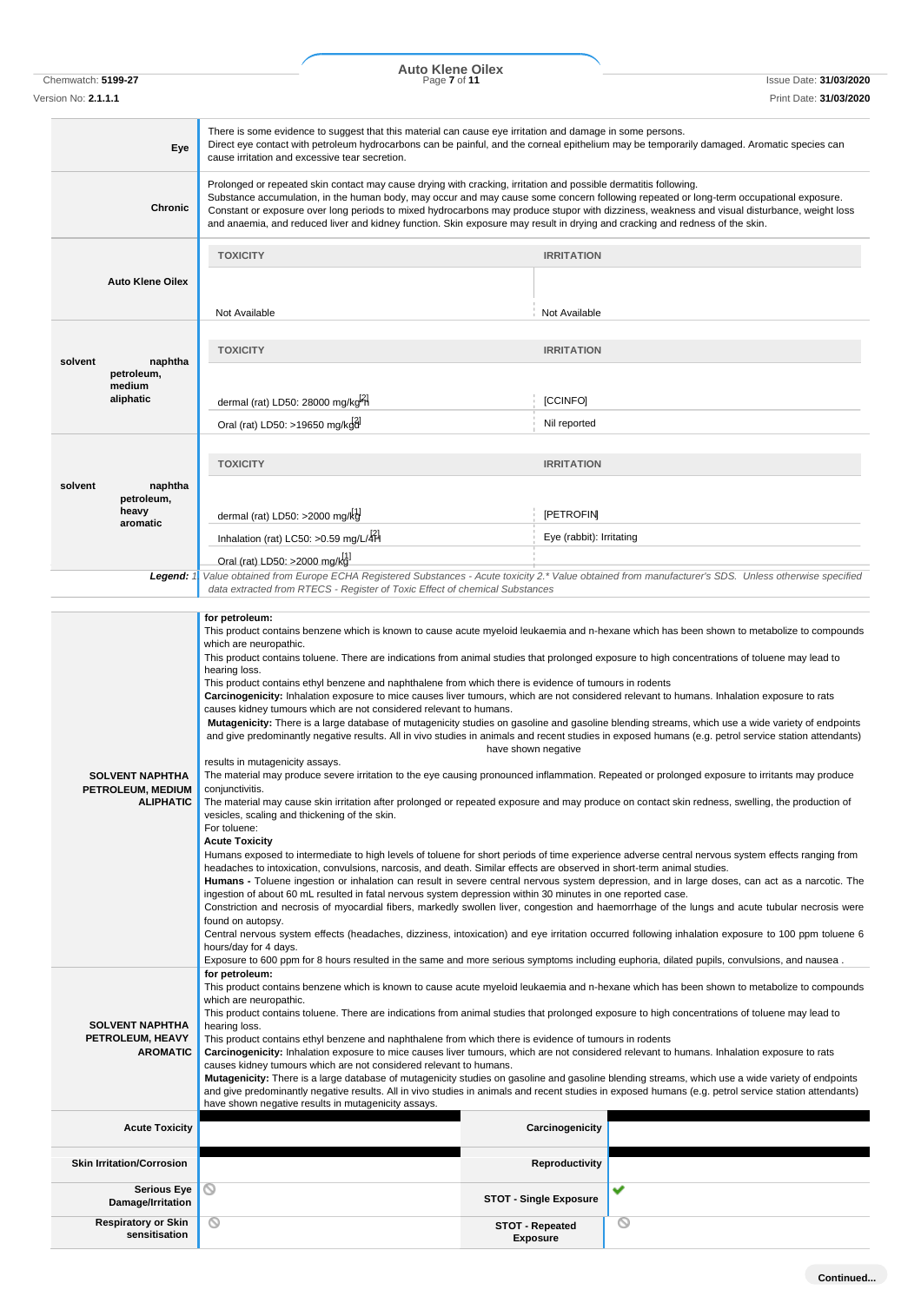|                                                  |                                         | <b>Auto Klene Oilex</b>                                                                                                                                                                                                                                                                                                                                                                                                                                                                                                                                                                                                                                                                                                                                                                                                                                                                                                                                                                                                                                                                                                                                                                                                                                                                                                                                                                                                      |                                              |                                                                                                                                                                                                                                                                                                                                                                                                                                                                                                                                                                                                                                                                                                                                                                       |
|--------------------------------------------------|-----------------------------------------|------------------------------------------------------------------------------------------------------------------------------------------------------------------------------------------------------------------------------------------------------------------------------------------------------------------------------------------------------------------------------------------------------------------------------------------------------------------------------------------------------------------------------------------------------------------------------------------------------------------------------------------------------------------------------------------------------------------------------------------------------------------------------------------------------------------------------------------------------------------------------------------------------------------------------------------------------------------------------------------------------------------------------------------------------------------------------------------------------------------------------------------------------------------------------------------------------------------------------------------------------------------------------------------------------------------------------------------------------------------------------------------------------------------------------|----------------------------------------------|-----------------------------------------------------------------------------------------------------------------------------------------------------------------------------------------------------------------------------------------------------------------------------------------------------------------------------------------------------------------------------------------------------------------------------------------------------------------------------------------------------------------------------------------------------------------------------------------------------------------------------------------------------------------------------------------------------------------------------------------------------------------------|
| Chemwatch: 5199-27<br>Version No: <b>2.1.1.1</b> |                                         | Page 7 of 11                                                                                                                                                                                                                                                                                                                                                                                                                                                                                                                                                                                                                                                                                                                                                                                                                                                                                                                                                                                                                                                                                                                                                                                                                                                                                                                                                                                                                 |                                              | <b>Issue Date: 31/03/2020</b><br>Print Date: 31/03/2020                                                                                                                                                                                                                                                                                                                                                                                                                                                                                                                                                                                                                                                                                                               |
|                                                  | Eye                                     | There is some evidence to suggest that this material can cause eye irritation and damage in some persons.<br>Direct eye contact with petroleum hydrocarbons can be painful, and the corneal epithelium may be temporarily damaged. Aromatic species can<br>cause irritation and excessive tear secretion.                                                                                                                                                                                                                                                                                                                                                                                                                                                                                                                                                                                                                                                                                                                                                                                                                                                                                                                                                                                                                                                                                                                    |                                              |                                                                                                                                                                                                                                                                                                                                                                                                                                                                                                                                                                                                                                                                                                                                                                       |
|                                                  | Chronic                                 | Prolonged or repeated skin contact may cause drying with cracking, irritation and possible dermatitis following.<br>Substance accumulation, in the human body, may occur and may cause some concern following repeated or long-term occupational exposure.<br>Constant or exposure over long periods to mixed hydrocarbons may produce stupor with dizziness, weakness and visual disturbance, weight loss<br>and anaemia, and reduced liver and kidney function. Skin exposure may result in drying and cracking and redness of the skin.                                                                                                                                                                                                                                                                                                                                                                                                                                                                                                                                                                                                                                                                                                                                                                                                                                                                                   |                                              |                                                                                                                                                                                                                                                                                                                                                                                                                                                                                                                                                                                                                                                                                                                                                                       |
|                                                  |                                         | <b>TOXICITY</b>                                                                                                                                                                                                                                                                                                                                                                                                                                                                                                                                                                                                                                                                                                                                                                                                                                                                                                                                                                                                                                                                                                                                                                                                                                                                                                                                                                                                              | <b>IRRITATION</b>                            |                                                                                                                                                                                                                                                                                                                                                                                                                                                                                                                                                                                                                                                                                                                                                                       |
|                                                  | <b>Auto Klene Oilex</b>                 | Not Available                                                                                                                                                                                                                                                                                                                                                                                                                                                                                                                                                                                                                                                                                                                                                                                                                                                                                                                                                                                                                                                                                                                                                                                                                                                                                                                                                                                                                | Not Available                                |                                                                                                                                                                                                                                                                                                                                                                                                                                                                                                                                                                                                                                                                                                                                                                       |
|                                                  |                                         | <b>TOXICITY</b>                                                                                                                                                                                                                                                                                                                                                                                                                                                                                                                                                                                                                                                                                                                                                                                                                                                                                                                                                                                                                                                                                                                                                                                                                                                                                                                                                                                                              | <b>IRRITATION</b>                            |                                                                                                                                                                                                                                                                                                                                                                                                                                                                                                                                                                                                                                                                                                                                                                       |
| solvent<br>petroleum,<br>medium                  | naphtha                                 |                                                                                                                                                                                                                                                                                                                                                                                                                                                                                                                                                                                                                                                                                                                                                                                                                                                                                                                                                                                                                                                                                                                                                                                                                                                                                                                                                                                                                              |                                              |                                                                                                                                                                                                                                                                                                                                                                                                                                                                                                                                                                                                                                                                                                                                                                       |
| aliphatic                                        |                                         | dermal (rat) LD50: 28000 mg/kg-1<br>Oral (rat) LD50: >19650 mg/kgd                                                                                                                                                                                                                                                                                                                                                                                                                                                                                                                                                                                                                                                                                                                                                                                                                                                                                                                                                                                                                                                                                                                                                                                                                                                                                                                                                           | [CCINFO]<br>Nil reported                     |                                                                                                                                                                                                                                                                                                                                                                                                                                                                                                                                                                                                                                                                                                                                                                       |
|                                                  |                                         | <b>TOXICITY</b>                                                                                                                                                                                                                                                                                                                                                                                                                                                                                                                                                                                                                                                                                                                                                                                                                                                                                                                                                                                                                                                                                                                                                                                                                                                                                                                                                                                                              | <b>IRRITATION</b>                            |                                                                                                                                                                                                                                                                                                                                                                                                                                                                                                                                                                                                                                                                                                                                                                       |
| solvent                                          | naphtha<br>petroleum,                   |                                                                                                                                                                                                                                                                                                                                                                                                                                                                                                                                                                                                                                                                                                                                                                                                                                                                                                                                                                                                                                                                                                                                                                                                                                                                                                                                                                                                                              |                                              |                                                                                                                                                                                                                                                                                                                                                                                                                                                                                                                                                                                                                                                                                                                                                                       |
| heavy<br>aromatic                                |                                         | dermal (rat) LD50: $>2000$ mg/kg<br>Inhalation (rat) LC50: >0.59 mg/L/4H                                                                                                                                                                                                                                                                                                                                                                                                                                                                                                                                                                                                                                                                                                                                                                                                                                                                                                                                                                                                                                                                                                                                                                                                                                                                                                                                                     | <b>IPETROFIN</b><br>Eye (rabbit): Irritating |                                                                                                                                                                                                                                                                                                                                                                                                                                                                                                                                                                                                                                                                                                                                                                       |
|                                                  |                                         | Oral (rat) LD50: >2000 mg/kg]                                                                                                                                                                                                                                                                                                                                                                                                                                                                                                                                                                                                                                                                                                                                                                                                                                                                                                                                                                                                                                                                                                                                                                                                                                                                                                                                                                                                |                                              |                                                                                                                                                                                                                                                                                                                                                                                                                                                                                                                                                                                                                                                                                                                                                                       |
|                                                  | Legend: 1                               | data extracted from RTECS - Register of Toxic Effect of chemical Substances                                                                                                                                                                                                                                                                                                                                                                                                                                                                                                                                                                                                                                                                                                                                                                                                                                                                                                                                                                                                                                                                                                                                                                                                                                                                                                                                                  |                                              | Value obtained from Europe ECHA Registered Substances - Acute toxicity 2.* Value obtained from manufacturer's SDS. Unless otherwise specified                                                                                                                                                                                                                                                                                                                                                                                                                                                                                                                                                                                                                         |
| <b>SOLVENT NAPHTHA</b><br>PETROLEUM, MEDIUM      | <b>ALIPHATIC</b>                        | which are neuropathic.<br>This product contains toluene. There are indications from animal studies that prolonged exposure to high concentrations of toluene may lead to<br>hearing loss.<br>This product contains ethyl benzene and naphthalene from which there is evidence of tumours in rodents<br>Carcinogenicity: Inhalation exposure to mice causes liver tumours, which are not considered relevant to humans. Inhalation exposure to rats<br>causes kidney tumours which are not considered relevant to humans.<br>results in mutagenicity assays.<br>The material may produce severe irritation to the eye causing pronounced inflammation. Repeated or prolonged exposure to irritants may produce<br>conjunctivitis.<br>The material may cause skin irritation after prolonged or repeated exposure and may produce on contact skin redness, swelling, the production of<br>vesicles, scaling and thickening of the skin.<br>For toluene:<br><b>Acute Toxicity</b><br>Humans exposed to intermediate to high levels of toluene for short periods of time experience adverse central nervous system effects ranging from<br>headaches to intoxication, convulsions, narcosis, and death. Similar effects are observed in short-term animal studies.<br>ingestion of about 60 mL resulted in fatal nervous system depression within 30 minutes in one reported case.<br>found on autopsy.<br>hours/day for 4 days. | have shown negative                          | Mutagenicity: There is a large database of mutagenicity studies on gasoline and gasoline blending streams, which use a wide variety of endpoints<br>and give predominantly negative results. All in vivo studies in animals and recent studies in exposed humans (e.g. petrol service station attendants)<br>Humans - Toluene ingestion or inhalation can result in severe central nervous system depression, and in large doses, can act as a narcotic. The<br>Constriction and necrosis of myocardial fibers, markedly swollen liver, congestion and haemorrhage of the lungs and acute tubular necrosis were<br>Central nervous system effects (headaches, dizziness, intoxication) and eye irritation occurred following inhalation exposure to 100 ppm toluene 6 |
| <b>SOLVENT NAPHTHA</b><br>PETROLEUM, HEAVY       | <b>AROMATIC</b>                         | Exposure to 600 ppm for 8 hours resulted in the same and more serious symptoms including euphoria, dilated pupils, convulsions, and nausea.<br>for petroleum:<br>This product contains benzene which is known to cause acute myeloid leukaemia and n-hexane which has been shown to metabolize to compounds<br>which are neuropathic.<br>This product contains toluene. There are indications from animal studies that prolonged exposure to high concentrations of toluene may lead to<br>hearing loss.<br>This product contains ethyl benzene and naphthalene from which there is evidence of tumours in rodents<br>Carcinogenicity: Inhalation exposure to mice causes liver tumours, which are not considered relevant to humans. Inhalation exposure to rats<br>causes kidney tumours which are not considered relevant to humans.<br>Mutagenicity: There is a large database of mutagenicity studies on gasoline and gasoline blending streams, which use a wide variety of endpoints<br>and give predominantly negative results. All in vivo studies in animals and recent studies in exposed humans (e.g. petrol service station attendants)<br>have shown negative results in mutagenicity assays.                                                                                                                                                                                                                  |                                              |                                                                                                                                                                                                                                                                                                                                                                                                                                                                                                                                                                                                                                                                                                                                                                       |
|                                                  | <b>Acute Toxicity</b>                   |                                                                                                                                                                                                                                                                                                                                                                                                                                                                                                                                                                                                                                                                                                                                                                                                                                                                                                                                                                                                                                                                                                                                                                                                                                                                                                                                                                                                                              | Carcinogenicity                              |                                                                                                                                                                                                                                                                                                                                                                                                                                                                                                                                                                                                                                                                                                                                                                       |
| <b>Skin Irritation/Corrosion</b>                 |                                         |                                                                                                                                                                                                                                                                                                                                                                                                                                                                                                                                                                                                                                                                                                                                                                                                                                                                                                                                                                                                                                                                                                                                                                                                                                                                                                                                                                                                                              | <b>Reproductivity</b>                        |                                                                                                                                                                                                                                                                                                                                                                                                                                                                                                                                                                                                                                                                                                                                                                       |
|                                                  | <b>Serious Eye</b><br>Damage/Irritation | $\circ$                                                                                                                                                                                                                                                                                                                                                                                                                                                                                                                                                                                                                                                                                                                                                                                                                                                                                                                                                                                                                                                                                                                                                                                                                                                                                                                                                                                                                      | <b>STOT - Single Exposure</b>                | ✓                                                                                                                                                                                                                                                                                                                                                                                                                                                                                                                                                                                                                                                                                                                                                                     |

**STOT - Repeated Exposure**

 $\circledcirc$ 

**Respiratory or Skin sensitisation**

 $\circledcirc$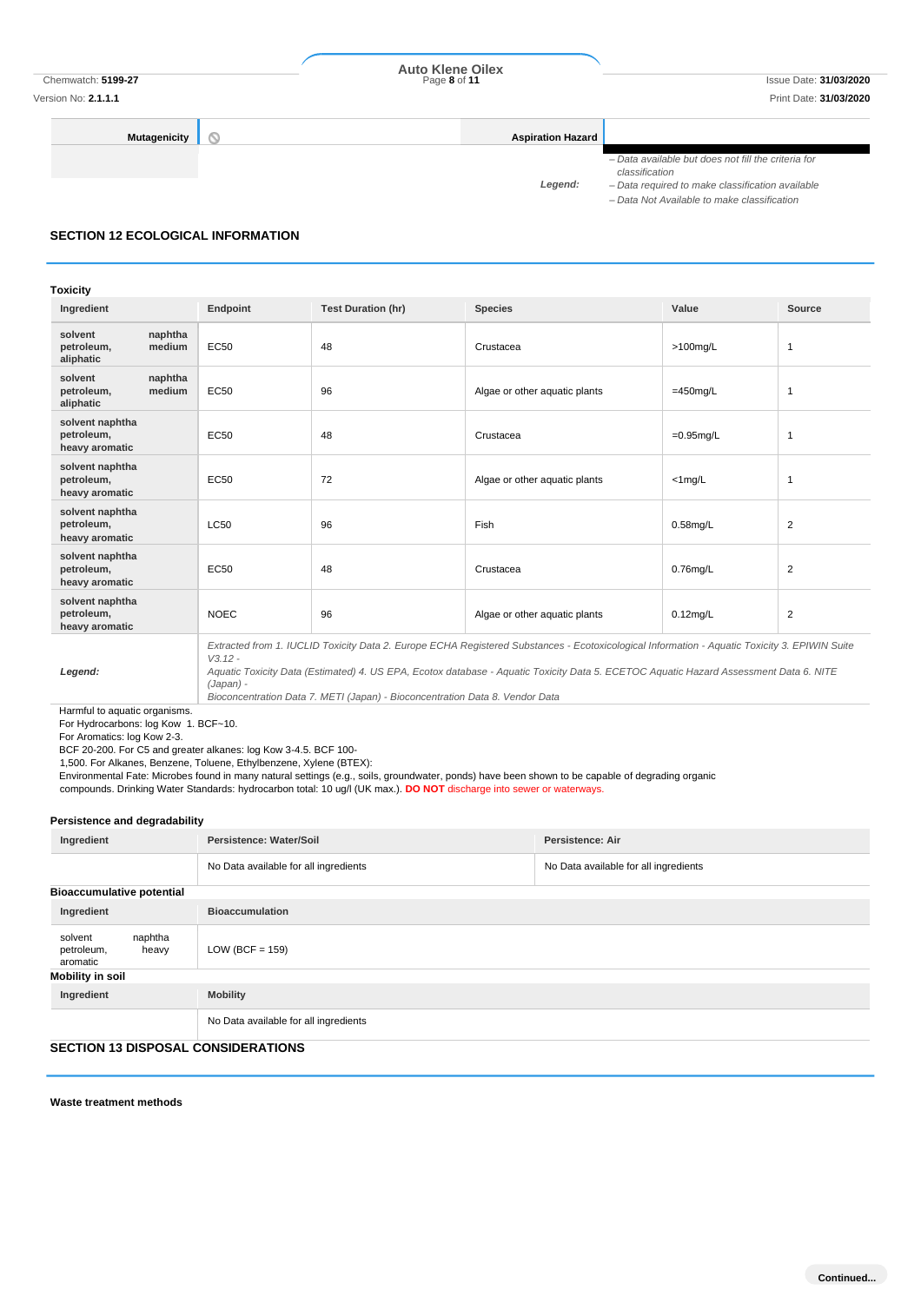Version No: **2.1.1.1** Print Date: **31/03/2020**

**Mutagenicity Aspiration Hazard** 

*– Data available but does not fill the criteria for* 

*classification Legend:*

*– Data required to make classification available*

*– Data Not Available to make classification*

# **SECTION 12 ECOLOGICAL INFORMATION**

### **Toxicity**

| Ingredient                                      |                   | Endpoint    | <b>Test Duration (hr)</b> | <b>Species</b>                                                                                                                                | Value        | Source         |
|-------------------------------------------------|-------------------|-------------|---------------------------|-----------------------------------------------------------------------------------------------------------------------------------------------|--------------|----------------|
| solvent<br>petroleum,<br>aliphatic              | naphtha<br>medium | <b>EC50</b> | 48                        | Crustacea                                                                                                                                     | $>100$ mg/L  | 1              |
| solvent<br>petroleum,<br>aliphatic              | naphtha<br>medium | <b>EC50</b> | 96                        | Algae or other aquatic plants                                                                                                                 | $=450$ mg/L  | 1              |
| solvent naphtha<br>petroleum,<br>heavy aromatic |                   | <b>EC50</b> | 48                        | Crustacea                                                                                                                                     | $=0.95$ mg/L | 1              |
| solvent naphtha<br>petroleum,<br>heavy aromatic |                   | <b>EC50</b> | 72                        | Algae or other aquatic plants                                                                                                                 | $<$ 1 mg/L   | 1              |
| solvent naphtha<br>petroleum,<br>heavy aromatic |                   | <b>LC50</b> | 96                        | Fish                                                                                                                                          | $0.58$ mg/L  | $\overline{2}$ |
| solvent naphtha<br>petroleum,<br>heavy aromatic |                   | <b>EC50</b> | 48                        | Crustacea                                                                                                                                     | $0.76$ mg/L  | 2              |
| solvent naphtha<br>petroleum,<br>heavy aromatic |                   | <b>NOEC</b> | 96                        | Algae or other aquatic plants                                                                                                                 | $0.12$ mg/L  | $\overline{2}$ |
|                                                 |                   | $V3.12 -$   |                           | Extracted from 1. IUCLID Toxicity Data 2. Europe ECHA Registered Substances - Ecotoxicological Information - Aquatic Toxicity 3. EPIWIN Suite |              |                |

*Legend:*

*Aquatic Toxicity Data (Estimated) 4. US EPA, Ecotox database - Aquatic Toxicity Data 5. ECETOC Aquatic Hazard Assessment Data 6. NITE (Japan) -*

*Bioconcentration Data 7. METI (Japan) - Bioconcentration Data 8. Vendor Data*

Harmful to aquatic organisms. For Hydrocarbons: log Kow 1. BCF~10.

For Aromatics: log Kow 2-3.

BCF 20-200. For C5 and greater alkanes: log Kow 3-4.5. BCF 100-

1,500. For Alkanes, Benzene, Toluene, Ethylbenzene, Xylene (BTEX):

Environmental Fate: Microbes found in many natural settings (e.g., soils, groundwater, ponds) have been shown to be capable of degrading organic

compounds. Drinking Water Standards: hydrocarbon total: 10 ug/l (UK max.). **DO NOT** discharge into sewer or waterways.

### **Persistence and degradability**

| Ingredient                                            | Persistence: Water/Soil               | <b>Persistence: Air</b>               |
|-------------------------------------------------------|---------------------------------------|---------------------------------------|
|                                                       | No Data available for all ingredients | No Data available for all ingredients |
| <b>Bioaccumulative potential</b>                      |                                       |                                       |
| Ingredient                                            | <b>Bioaccumulation</b>                |                                       |
| naphtha<br>solvent<br>petroleum,<br>heavy<br>aromatic | LOW (BCF = $159$ )                    |                                       |
| Mobility in soil                                      |                                       |                                       |
| Ingredient                                            | <b>Mobility</b>                       |                                       |
|                                                       | No Data available for all ingredients |                                       |

### **SECTION 13 DISPOSAL CONSIDERATIONS**

**Waste treatment methods**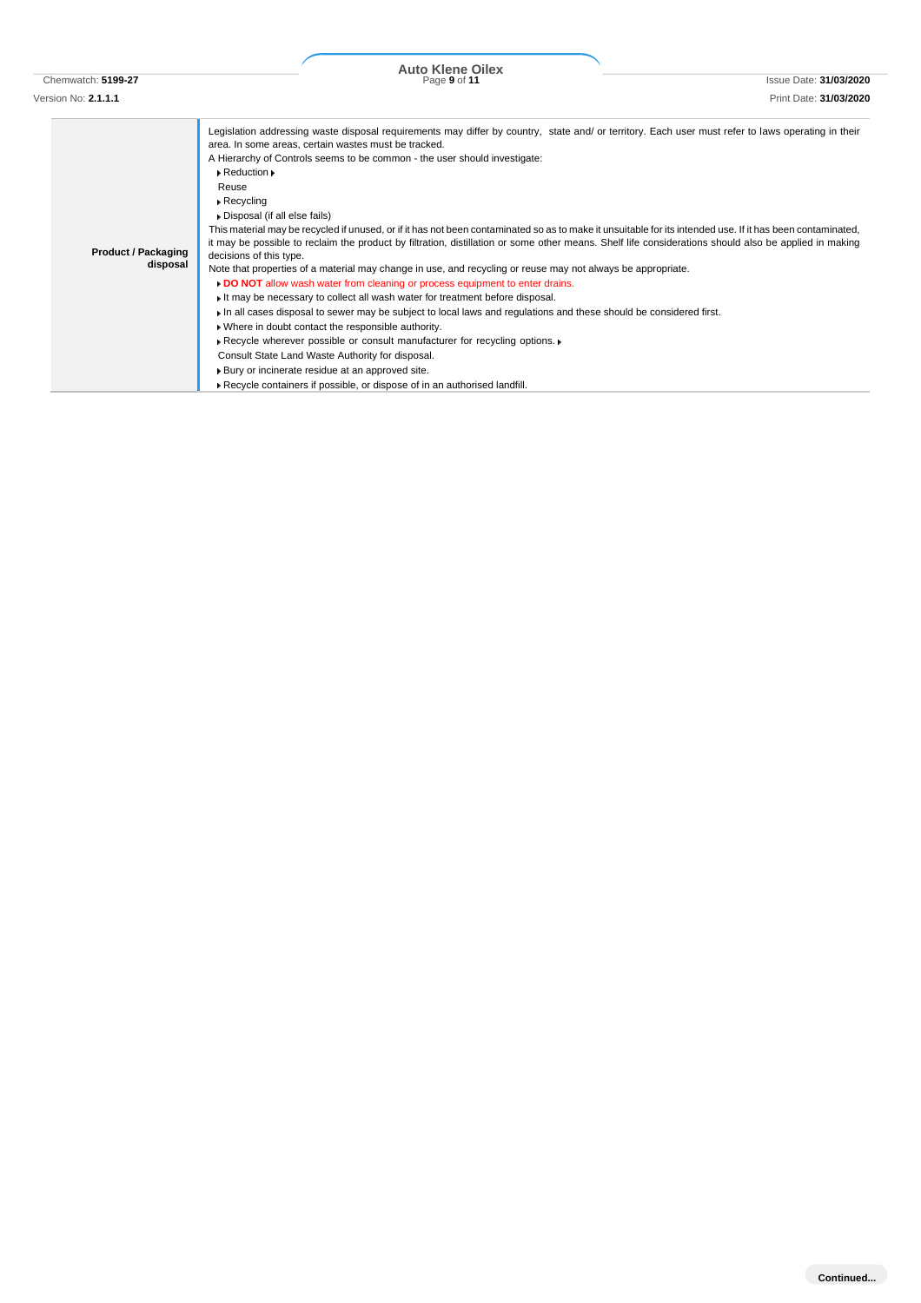Chemwatch: **5199-27** Page **9** of **11** Issue Date: **31/03/2020 Auto Klene Oilex**

| Version No: <b>2.1.1.1</b> | Print Date: 31/03/2020                                                                                                                                                                                                                                                                                                                                                        |
|----------------------------|-------------------------------------------------------------------------------------------------------------------------------------------------------------------------------------------------------------------------------------------------------------------------------------------------------------------------------------------------------------------------------|
|                            | Legislation addressing waste disposal requirements may differ by country, state and/ or territory. Each user must refer to laws operating in their<br>area. In some areas, certain wastes must be tracked.<br>A Hierarchy of Controls seems to be common - the user should investigate:<br>$\triangleright$ Reduction $\triangleright$<br>Reuse<br>$\triangleright$ Recycling |

| <b>Product / Packaging</b><br>disposal | $\triangleright$ Recycling<br>Disposal (if all else fails)<br>This material may be recycled if unused, or if it has not been contaminated so as to make it unsuitable for its intended use. If it has been contaminated,<br>it may be possible to reclaim the product by filtration, distillation or some other means. Shelf life considerations should also be applied in making<br>decisions of this type.<br>Note that properties of a material may change in use, and recycling or reuse may not always be appropriate.<br>DO NOT allow wash water from cleaning or process equipment to enter drains.<br>It may be necessary to collect all wash water for treatment before disposal.<br>In all cases disposal to sewer may be subject to local laws and regulations and these should be considered first.<br>. Where in doubt contact the responsible authority.<br>Recycle wherever possible or consult manufacturer for recycling options.<br>Consult State Land Waste Authority for disposal. |
|----------------------------------------|--------------------------------------------------------------------------------------------------------------------------------------------------------------------------------------------------------------------------------------------------------------------------------------------------------------------------------------------------------------------------------------------------------------------------------------------------------------------------------------------------------------------------------------------------------------------------------------------------------------------------------------------------------------------------------------------------------------------------------------------------------------------------------------------------------------------------------------------------------------------------------------------------------------------------------------------------------------------------------------------------------|
|                                        | Bury or incinerate residue at an approved site.                                                                                                                                                                                                                                                                                                                                                                                                                                                                                                                                                                                                                                                                                                                                                                                                                                                                                                                                                        |

Recycle containers if possible, or dispose of in an authorised landfill.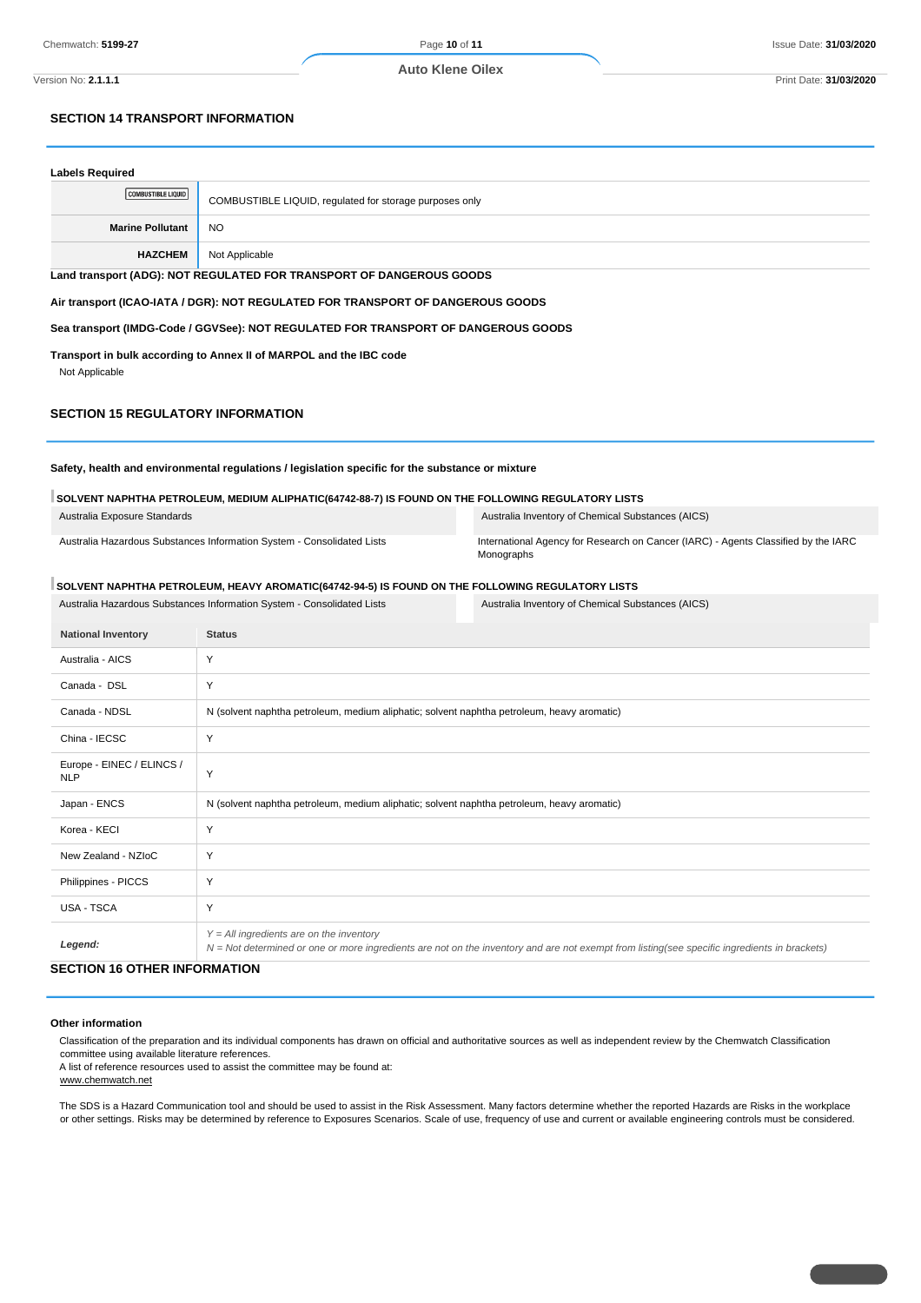**Auto Klene Oilex**

Version No: **2.1.1.1** Print Date: **31/03/2020**

### **SECTION 14 TRANSPORT INFORMATION**

| <b>Labels Required</b>                                                                           |                                                                                 |  |
|--------------------------------------------------------------------------------------------------|---------------------------------------------------------------------------------|--|
| <b>COMBUSTIBLE LIQUID</b>                                                                        | COMBUSTIBLE LIQUID, regulated for storage purposes only                         |  |
| <b>Marine Pollutant</b>                                                                          | <b>NO</b>                                                                       |  |
| <b>HAZCHEM</b>                                                                                   | Not Applicable                                                                  |  |
|                                                                                                  | Land transport (ADG): NOT REGULATED FOR TRANSPORT OF DANGEROUS GOODS            |  |
|                                                                                                  | Air transport (ICAO-IATA / DGR): NOT REGULATED FOR TRANSPORT OF DANGEROUS GOODS |  |
| Sea transport (IMDG-Code / GGVSee): NOT REGULATED FOR TRANSPORT OF DANGEROUS GOODS               |                                                                                 |  |
| Transport in bulk according to Annex II of MARPOL and the IBC code<br>Not Applicable             |                                                                                 |  |
| <b>SECTION 15 REGULATORY INFORMATION</b>                                                         |                                                                                 |  |
| Safety, health and environmental regulations / legislation specific for the substance or mixture |                                                                                 |  |

| Australia Exposure Standards | Australia Inventory of Chemical Substances (AICS) |
|------------------------------|---------------------------------------------------|
|                              |                                                   |

Australia Hazardous Substances Information System - Consolidated Lists International Agency for Research on Cancer (IARC) - Agents Classified by the IARC Monographs

### **SOLVENT NAPHTHA PETROLEUM, HEAVY AROMATIC(64742-94-5) IS FOUND ON THE FOLLOWING REGULATORY LISTS**

**SOLVENT NAPHTHA PETROLEUM, MEDIUM ALIPHATIC(64742-88-7) IS FOUND ON THE FOLLOWING REGULATORY LISTS**

Australia Hazardous Substances Information System - Consolidated Lists Australia Inventory of Chemical Substances (AICS)

| <b>National Inventory</b>               | <b>Status</b>                                                                                                                                                                              |
|-----------------------------------------|--------------------------------------------------------------------------------------------------------------------------------------------------------------------------------------------|
| Australia - AICS                        | Y                                                                                                                                                                                          |
| Canada - DSL                            | Y                                                                                                                                                                                          |
| Canada - NDSL                           | N (solvent naphtha petroleum, medium aliphatic; solvent naphtha petroleum, heavy aromatic)                                                                                                 |
| China - IECSC                           | Y                                                                                                                                                                                          |
| Europe - EINEC / ELINCS /<br><b>NLP</b> | Y                                                                                                                                                                                          |
| Japan - ENCS                            | N (solvent naphtha petroleum, medium aliphatic; solvent naphtha petroleum, heavy aromatic)                                                                                                 |
| Korea - KECI                            | Y                                                                                                                                                                                          |
| New Zealand - NZIoC                     | Y                                                                                                                                                                                          |
| Philippines - PICCS                     | Y                                                                                                                                                                                          |
| <b>USA - TSCA</b>                       | Y                                                                                                                                                                                          |
| Legend:                                 | $Y = All$ ingredients are on the inventory<br>N = Not determined or one or more ingredients are not on the inventory and are not exempt from listing(see specific ingredients in brackets) |

### **SECTION 16 OTHER INFORMATION**

### **Other information**

Classification of the preparation and its individual components has drawn on official and authoritative sources as well as independent review by the Chemwatch Classification committee using available literature references.

A list of reference resources used to assist the committee may be found at: www.chemwatch.net

The SDS is a Hazard Communication tool and should be used to assist in the Risk Assessment. Many factors determine whether the reported Hazards are Risks in the workplace or other settings. Risks may be determined by reference to Exposures Scenarios. Scale of use, frequency of use and current or available engineering controls must be considered.